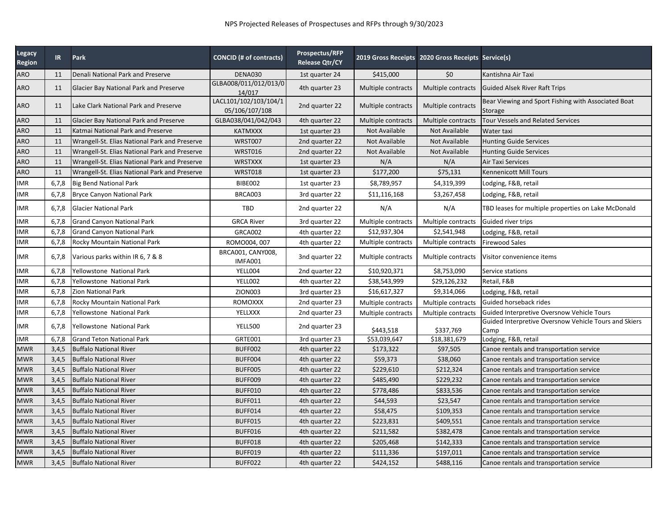| Legacy<br><b>Region</b> | IR    | Park                                          | <b>CONCID (# of contracts)</b>          | Prospectus/RFP<br><b>Release Qtr/CY</b> |                    | 2019 Gross Receipts 2020 Gross Receipts Service(s) |                                                                |
|-------------------------|-------|-----------------------------------------------|-----------------------------------------|-----------------------------------------|--------------------|----------------------------------------------------|----------------------------------------------------------------|
| ARO                     | 11    | Denali National Park and Preserve             | DENA030                                 | 1st quarter 24                          | \$415,000          | \$0                                                | Kantishna Air Taxi                                             |
| ARO                     | 11    | Glacier Bay National Park and Preserve        | GLBA008/011/012/013/0<br>14/017         | 4th quarter 23                          | Multiple contracts | Multiple contracts                                 | <b>Guided Alsek River Raft Trips</b>                           |
| ARO                     | 11    | Lake Clark National Park and Preserve         | LACL101/102/103/104/1<br>05/106/107/108 | 2nd quarter 22                          | Multiple contracts | Multiple contracts                                 | Bear Viewing and Sport Fishing with Associated Boat<br>Storage |
| ARO                     | 11    | Glacier Bay National Park and Preserve        | GLBA038/041/042/043                     | 4th quarter 22                          | Multiple contracts | Multiple contracts                                 | <b>Tour Vessels and Related Services</b>                       |
| ARO                     | 11    | Katmai National Park and Preserve             | <b>KATMXXX</b>                          | 1st quarter 23                          | Not Available      | Not Available                                      | Water taxi                                                     |
| ARO                     | 11    | Wrangell-St. Elias National Park and Preserve | WRST007                                 | 2nd quarter 22                          | Not Available      | Not Available                                      | <b>Hunting Guide Services</b>                                  |
| ARO                     | 11    | Wrangell-St. Elias National Park and Preserve | <b>WRST016</b>                          | 2nd quarter 22                          | Not Available      | Not Available                                      | <b>Hunting Guide Services</b>                                  |
| ARO                     | 11    | Wrangell-St. Elias National Park and Preserve | <b>WRSTXXX</b>                          | 1st quarter 23                          | N/A                | N/A                                                | <b>Air Taxi Services</b>                                       |
| ARO                     | 11    | Wrangell-St. Elias National Park and Preserve | WRST018                                 | 1st quarter 23                          | \$177,200          | \$75,131                                           | Kennenicott Mill Tours                                         |
| IMR                     | 6,7,8 | <b>Big Bend National Park</b>                 | BIBE002                                 | 1st quarter 23                          | \$8,789,957        | \$4,319,399                                        | odging, F&B, retail_                                           |
| IMR                     | 6,7,8 | <b>Bryce Canyon National Park</b>             | BRCA003                                 | 3rd quarter 22                          | \$11,116,168       | \$3,267,458                                        | Lodging, F&B, retail                                           |
| ΜR                      | 6,7,8 | <b>Glacier National Park</b>                  | TBD                                     | 2nd quarter 22                          | N/A                | N/A                                                | TBD leases for multiple properties on Lake McDonald            |
| IMR                     | 6,7,8 | <b>Grand Canyon National Park</b>             | <b>GRCA River</b>                       | 3rd quarter 22                          | Multiple contracts | Multiple contracts                                 | Guided river trips                                             |
| IMR                     | 6,7,8 | <b>Grand Canyon National Park</b>             | <b>GRCA002</b>                          | 4th quarter 22                          | \$12,937,304       | \$2,541,948                                        | Lodging, F&B, retail                                           |
| IMR                     | 6,7,8 | Rocky Mountain National Park                  | ROMO004, 007                            | 4th quarter 22                          | Multiple contracts | Multiple contracts                                 | <b>Firewood Sales</b>                                          |
| IMR                     | 6,7,8 | Various parks within IR 6, 7 & 8              | BRCA001, CANY008,<br>IMFA001            | 3nd quarter 22                          | Multiple contracts | Multiple contracts                                 | Visitor convenience items                                      |
| IMR                     | 6,7,8 | Yellowstone National Park                     | YELL004                                 | 2nd quarter 22                          | \$10,920,371       | \$8,753,090                                        | Service stations                                               |
| IMR                     | 6,7,8 | Yellowstone National Park                     | YELLOO2                                 | 4th quarter 22                          | \$38,543,999       | \$29,126,232                                       | Retail, F&B                                                    |
| IMR                     | 6,7,8 | Zion National Park                            | ZION003                                 | 3rd quarter 23                          | \$16,617,327       | \$9,314,066                                        | Lodging, F&B, retail                                           |
| IMR                     | 6,7,8 | Rocky Mountain National Park                  | <b>ROMOXXX</b>                          | 2nd quarter 23                          | Multiple contracts | Multiple contracts                                 | Guided horseback rides                                         |
| IMR                     | 6,7,8 | Yellowstone National Park                     | YELLXXX                                 | 2nd quarter 23                          | Multiple contracts | Multiple contracts                                 | Guided Interpretive Oversnow Vehicle Tours                     |
| IMR                     | 6,7,8 | Yellowstone National Park                     | YELL500                                 | 2nd quarter 23                          | \$443,518          | \$337,769                                          | Guided Interpretive Oversnow Vehicle Tours and Skiers<br>Camp  |
| IMR                     | 6,7,8 | <b>Grand Teton National Park</b>              | GRTE001                                 | 3rd quarter 23                          | \$53,039,647       | \$18,381,679                                       | Lodging, F&B, retail                                           |
| MWR                     | 3,4,5 | <b>Buffalo National River</b>                 | BUFF002                                 | 4th quarter 22                          | \$173,322          | \$97,505                                           | Canoe rentals and transportation service                       |
| <b>MWR</b>              | 3,4,5 | <b>Buffalo National River</b>                 | BUFF004                                 | 4th quarter 22                          | \$59,373           | \$38,060                                           | Canoe rentals and transportation service                       |
| MWR                     | 3,4,5 | <b>Buffalo National River</b>                 | BUFF005                                 | 4th quarter 22                          | \$229,610          | \$212,324                                          | Canoe rentals and transportation service                       |
| MWR                     | 3,4,5 | <b>Buffalo National River</b>                 | BUFF009                                 | 4th quarter 22                          | \$485,490          | \$229,232                                          | Canoe rentals and transportation service                       |
| MWR                     | 3,4,5 | <b>Buffalo National River</b>                 | BUFF010                                 | 4th quarter 22                          | \$778,486          | \$833,536                                          | Canoe rentals and transportation service                       |
| <b>MWR</b>              | 3,4,5 | <b>Buffalo National River</b>                 | BUFF011                                 | 4th quarter 22                          | \$44,593           | \$23,547                                           | Canoe rentals and transportation service                       |
| MWR                     | 3,4,5 | <b>Buffalo National River</b>                 | BUFF014                                 | 4th quarter 22                          | \$58,475           | \$109,353                                          | Canoe rentals and transportation service                       |
| <b>MWR</b>              | 3,4,5 | <b>Buffalo National River</b>                 | BUFF015                                 | 4th quarter 22                          | \$223,831          | \$409,551                                          | Canoe rentals and transportation service                       |
| MWR                     | 3,4,5 | <b>Buffalo National River</b>                 | BUFF016                                 | 4th quarter 22                          | \$211,582          | \$382,478                                          | Canoe rentals and transportation service                       |
| <b>MWR</b>              | 3,4,5 | <b>Buffalo National River</b>                 | BUFF018                                 | 4th quarter 22                          | \$205,468          | \$142,333                                          | Canoe rentals and transportation service                       |
| MWR                     | 3,4,5 | <b>Buffalo National River</b>                 | BUFF019                                 | 4th quarter 22                          | \$111,336          | \$197,011                                          | Canoe rentals and transportation service                       |
| MWR                     | 3,4,5 | <b>Buffalo National River</b>                 | BUFF022                                 | 4th quarter 22                          | \$424,152          | \$488,116                                          | Canoe rentals and transportation service                       |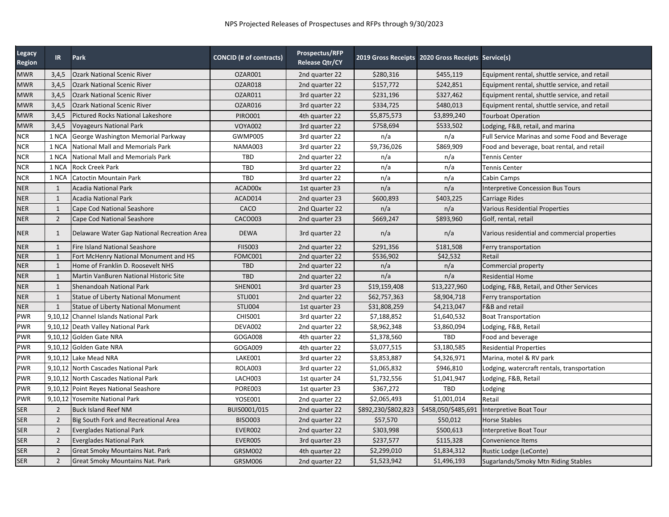| Legacy<br>Region | IR             | Park                                        | CONCID (# of contracts) | Prospectus/RFP<br><b>Release Qtr/CY</b> |                     | 2019 Gross Receipts 2020 Gross Receipts Service(s) |                                                 |
|------------------|----------------|---------------------------------------------|-------------------------|-----------------------------------------|---------------------|----------------------------------------------------|-------------------------------------------------|
| <b>MWR</b>       | 3,4,5          | <b>Ozark National Scenic River</b>          | OZAR001                 | 2nd quarter 22                          | \$280,316           | \$455,119                                          | Equipment rental, shuttle service, and retail   |
| <b>MWR</b>       | 3,4,5          | <b>Ozark National Scenic River</b>          | OZAR018                 | 2nd quarter 22                          | \$157,772           | \$242,851                                          | Equipment rental, shuttle service, and retail   |
| <b>MWR</b>       | 3,4,5          | <b>Ozark National Scenic River</b>          | OZAR011                 | 3rd quarter 22                          | \$231,196           | \$327,462                                          | Equipment rental, shuttle service, and retail   |
| <b>MWR</b>       | 3,4,5          | <b>Ozark National Scenic River</b>          | OZAR016                 | 3rd quarter 22                          | \$334,725           | \$480,013                                          | Equipment rental, shuttle service, and retail   |
| <b>MWR</b>       | 3,4,5          | <b>Pictured Rocks National Lakeshore</b>    | <b>PIRO001</b>          | 4th quarter 22                          | \$5,875,573         | \$3,899,240                                        | <b>Tourboat Operation</b>                       |
| <b>MWR</b>       | 3,4,5          | <b>Voyageurs National Park</b>              | <b>VOYA002</b>          | 3rd quarter 22                          | \$758,694           | \$533,502                                          | Lodging, F&B, retail, and marina                |
| <b>NCR</b>       | 1 NCA          | George Washington Memorial Parkway          | GWMP005                 | 3rd quarter 22                          | n/a                 | n/a                                                | Full Service Marinas and some Food and Beverage |
| <b>NCR</b>       | 1 NCA          | <b>National Mall and Memorials Park</b>     | <b>NAMA003</b>          | 3rd quarter 22                          | \$9,736,026         | \$869,909                                          | Food and beverage, boat rental, and retail      |
| <b>NCR</b>       | 1 NCA          | National Mall and Memorials Park            | TBD                     | 2nd quarter 22                          | n/a                 | n/a                                                | <b>Tennis Center</b>                            |
| <b>NCR</b>       | 1 NCA          | <b>Rock Creek Park</b>                      | TBD                     | 3rd quarter 22                          | n/a                 | n/a                                                | <b>Tennis Center</b>                            |
| <b>NCR</b>       | 1 NCA          | Catoctin Mountain Park                      | TBD                     | 3rd quarter 22                          | n/a                 | n/a                                                | Cabin Camps                                     |
| <b>NER</b>       | $\mathbf{1}$   | <b>Acadia National Park</b>                 | ACAD00x                 | 1st quarter 23                          | n/a                 | n/a                                                | Interpretive Concession Bus Tours               |
| <b>NER</b>       | $\mathbf{1}$   | <b>Acadia National Park</b>                 | ACAD014                 | 2nd quarter 23                          | \$600,893           | \$403,225                                          | Carriage Rides                                  |
| <b>NER</b>       | $\mathbf{1}$   | Cape Cod National Seashore                  | CACO                    | 2nd Quarter 22                          | n/a                 | n/a                                                | Various Residential Properties                  |
| <b>NER</b>       | $\overline{2}$ | Cape Cod National Seashore                  | <b>CACO003</b>          | 2nd quarter 23                          | \$669,247           | \$893,960                                          | Golf, rental, retail                            |
| <b>NER</b>       | 1              | Delaware Water Gap National Recreation Area | <b>DEWA</b>             | 3rd quarter 22                          | n/a                 | n/a                                                | Various residential and commercial properties   |
| <b>NER</b>       | 1              | <b>Fire Island National Seashore</b>        | <b>FIIS003</b>          | 2nd quarter 22                          | \$291,356           | \$181,508                                          | Ferry transportation                            |
| <b>NER</b>       | $\mathbf{1}$   | Fort McHenry National Monument and HS       | FOMC001                 | 2nd quarter 22                          | \$536,902           | \$42,532                                           | Retail                                          |
| <b>NER</b>       | $\mathbf{1}$   | Home of Franklin D. Roosevelt NHS           | <b>TBD</b>              | 2nd quarter 22                          | n/a                 | n/a                                                | Commercial property                             |
| <b>NER</b>       | $\mathbf{1}$   | Martin VanBuren National Historic Site      | <b>TBD</b>              | 2nd quarter 22                          | n/a                 | n/a                                                | <b>Residential Home</b>                         |
| <b>NER</b>       | $\mathbf{1}$   | Shenandoah National Park                    | SHEN001                 | 3rd quarter 23                          | \$19,159,408        | \$13,227,960                                       | Lodging, F&B, Retail, and Other Services        |
| <b>NER</b>       | $\mathbf{1}$   | Statue of Liberty National Monument         | <b>STLI001</b>          | 2nd quarter 22                          | \$62,757,363        | \$8,904,718                                        | Ferry transportation                            |
| <b>NER</b>       | $\mathbf{1}$   | Statue of Liberty National Monument         | <b>STLI004</b>          | 1st quarter 23                          | \$31,808,259        | \$4,213,047                                        | F&B and retail                                  |
| <b>PWR</b>       |                | 9.10.12 Channel Islands National Park       | <b>CHIS001</b>          | 3rd quarter 22                          | \$7,188,852         | \$1,640,532                                        | <b>Boat Transportation</b>                      |
| <b>PWR</b>       |                | 9,10,12 Death Valley National Park          | DEVA002                 | 2nd quarter 22                          | \$8,962,348         | \$3,860,094                                        | Lodging, F&B, Retail                            |
| <b>PWR</b>       |                | 9,10,12 Golden Gate NRA                     | GOGA008                 | 4th quarter 22                          | \$1,378,560         | TBD                                                | Food and beverage                               |
| <b>PWR</b>       | 9,10,12        | Golden Gate NRA                             | GOGA009                 | 4th quarter 22                          | \$3,077,515         | \$3,180,585                                        | <b>Residential Properties</b>                   |
| <b>PWR</b>       | 9,10,12        | Lake Mead NRA                               | LAKE001                 | 3rd quarter 22                          | \$3,853,887         | \$4,326,971                                        | Marina, motel & RV park                         |
| <b>PWR</b>       |                | 9,10,12 North Cascades National Park        | <b>ROLA003</b>          | 3rd quarter 22                          | \$1,065,832         | \$946,810                                          | Lodging, watercraft rentals, transportation     |
| <b>PWR</b>       |                | 9.10.12 North Cascades National Park        | LACH003                 | 1st quarter 24                          | \$1,732,556         | \$1,041,947                                        | Lodging, F&B, Retail                            |
| <b>PWR</b>       |                | 9,10,12 Point Reyes National Seashore       | PORE003                 | 1st quarter 23                          | \$367,272           | <b>TBD</b>                                         | Lodging                                         |
| <b>PWR</b>       |                | 9,10,12 Yosemite National Park              | YOSE001                 | 2nd quarter 22                          | \$2,065,493         | \$1,001,014                                        | Retail                                          |
| <b>SER</b>       | $\overline{2}$ | <b>Buck Island Reef NM</b>                  | BUIS0001/015            | 2nd quarter 22                          | \$892,230/\$802,823 | \$458,050/\$485,691                                | Interpretive Boat Tour                          |
| <b>SER</b>       | $\overline{2}$ | Big South Fork and Recreational Area        | <b>BISO003</b>          | 2nd quarter 22                          | \$57,570            | \$50,012                                           | <b>Horse Stables</b>                            |
| <b>SER</b>       | $\overline{2}$ | <b>Everglades National Park</b>             | EVER002                 | 2nd quarter 22                          | \$303,998           | \$500,613                                          | Interpretive Boat Tour                          |
| <b>SER</b>       | $\overline{2}$ | <b>Everglades National Park</b>             | EVER005                 | 3rd quarter 23                          | \$237,577           | \$115,328                                          | Convenience Items                               |
| <b>SER</b>       | $\overline{2}$ | <b>Great Smoky Mountains Nat. Park</b>      | GRSM002                 | 4th quarter 22                          | \$2,299,010         | \$1,834,312                                        | Rustic Lodge (LeConte)                          |
| <b>SER</b>       | $\overline{2}$ | <b>Great Smoky Mountains Nat. Park</b>      | GRSM006                 | 2nd quarter 22                          | \$1,523,942         | \$1,496,193                                        | Sugarlands/Smoky Mtn Riding Stables             |